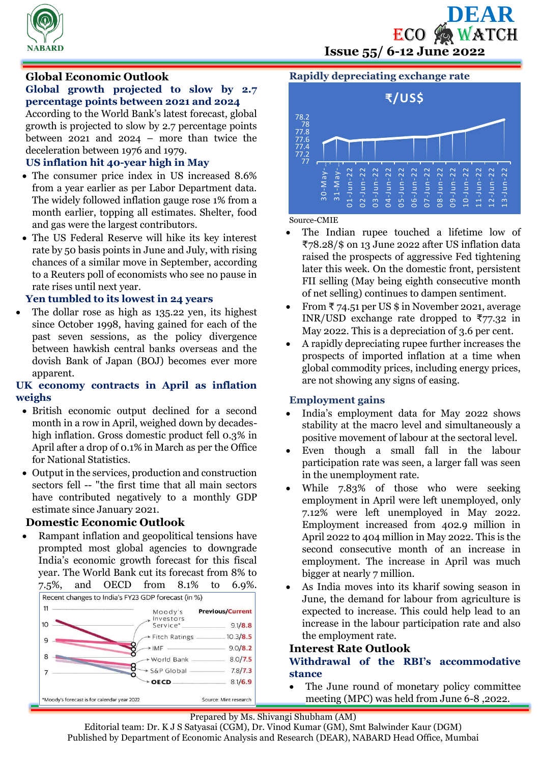



# **Global Economic Outlook**

# **Global growth projected to slow by 2.7 percentage points between 2021 and 2024**

According to the World Bank's latest forecast, global growth is projected to slow by 2.7 percentage points between 2021 and 2024 – more than twice the deceleration between 1976 and 1979.

# **US inflation hit 40-year high in May**

- The consumer price index in US increased 8.6% from a year earlier as per Labor Department data. The widely followed inflation gauge rose 1% from a month earlier, topping all estimates. Shelter, food and gas were the largest contributors.
- The US Federal Reserve will hike its key interest rate by 50 basis points in June and July, with rising chances of a similar move in September, according to a Reuters poll of economists who see no pause in rate rises until next year.

## **Yen tumbled to its lowest in 24 years**

 The dollar rose as high as 135.22 yen, its highest since October 1998, having gained for each of the past seven sessions, as the policy divergence between hawkish central banks overseas and the dovish Bank of Japan (BOJ) becomes ever more apparent.

# **UK economy contracts in April as inflation weighs**

- British economic output declined for a second month in a row in April, weighed down by decadeshigh inflation. Gross domestic product fell 0.3% in April after a drop of 0.1% in March as per the Office for National Statistics.
- Output in the services, production and construction sectors fell -- "the first time that all main sectors have contributed negatively to a monthly GDP estimate since January 2021.

# **Domestic Economic Outlook**

 Rampant inflation and geopolitical tensions have prompted most global agencies to downgrade India's economic growth forecast for this fiscal year. The World Bank cut its forecast from 8% to 7.5%, and OECD from 8.1% to 6.9%.



# **Rapidly depreciating exchange rate**



#### Source-CMIE

- The Indian rupee touched a lifetime low of ₹78.28/\$ on 13 June 2022 after US inflation data raised the prospects of aggressive Fed tightening later this week. On the domestic front, persistent FII selling (May being eighth consecutive month of net selling) continues to dampen sentiment.
- From  $\overline{\tau}$  74.51 per US \$ in November 2021, average INR/USD exchange rate dropped to  $\overline{577.32}$  in May 2022. This is a depreciation of 3.6 per cent.
- A rapidly depreciating rupee further increases the prospects of imported inflation at a time when global commodity prices, including energy prices, are not showing any signs of easing.

### **Employment gains**

- India's employment data for May 2022 shows stability at the macro level and simultaneously a positive movement of labour at the sectoral level.
- Even though a small fall in the labour participation rate was seen, a larger fall was seen in the unemployment rate.
- While 7.83% of those who were seeking employment in April were left unemployed, only 7.12% were left unemployed in May 2022. Employment increased from 402.9 million in April 2022 to 404 million in May 2022. This is the second consecutive month of an increase in employment. The increase in April was much bigger at nearly 7 million.
- As India moves into its kharif sowing season in June, the demand for labour from agriculture is expected to increase. This could help lead to an increase in the labour participation rate and also the employment rate.

## **Interest Rate Outlook**

## **Withdrawal of the RBI's accommodative stance**

 The June round of monetary policy committee meeting (MPC) was held from June 6-8 ,2022.